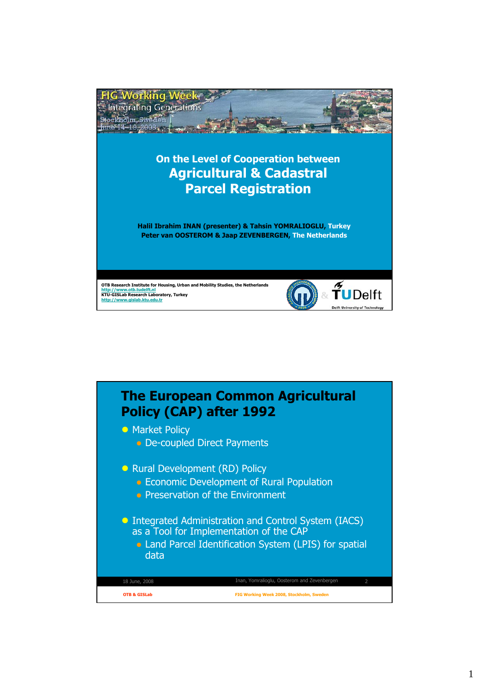

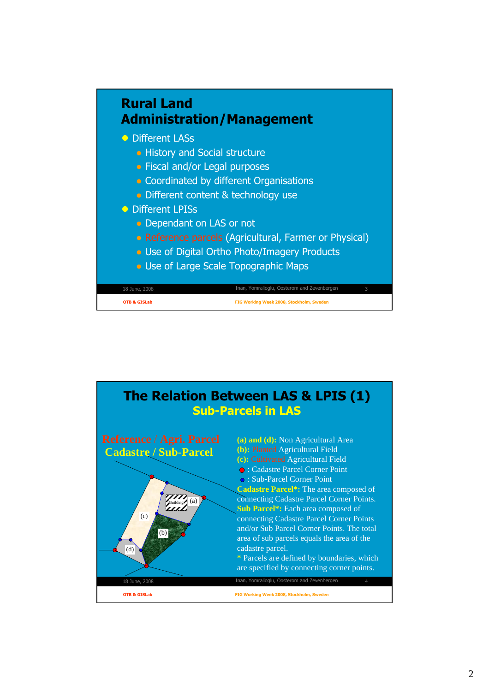

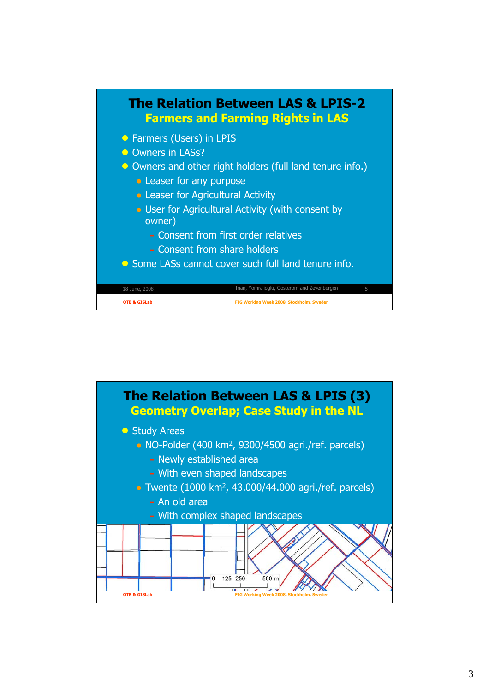

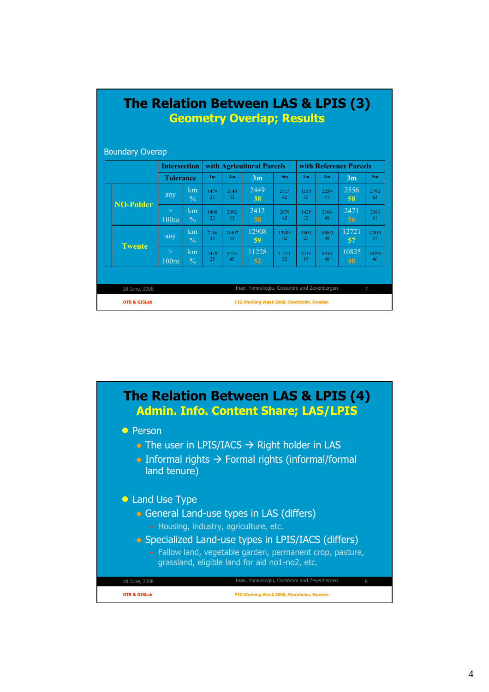| The Relation Between LAS & LPIS (3) |                                          |                     |                |             | <b>Geometry Overlap; Results</b>            |                |                |             |                        |                |
|-------------------------------------|------------------------------------------|---------------------|----------------|-------------|---------------------------------------------|----------------|----------------|-------------|------------------------|----------------|
| <b>Boundary Overap</b>              | <b>Intersection</b>                      |                     |                |             | with Agricultural Parcels                   |                |                |             | with Reference Parcels |                |
|                                     | <b>Tolerance</b>                         |                     | 1 <sub>m</sub> | 2m          | 3 <sub>m</sub>                              | 5 <sub>m</sub> | 1 <sub>m</sub> | 2m          | 3m                     | 5m             |
| <b>NO-Polder</b>                    | any                                      | km<br>$\frac{0}{0}$ | 1479<br>23     | 2140<br>33  | 2449<br>38                                  | 2715<br>42     | 1530<br>35     | 2259<br>51  | 2556<br>58             | 2792<br>63     |
|                                     | $\geq$<br>100m                           | km<br>$\frac{0}{0}$ | 1408<br>22     | 2092<br>33  | 2412<br>38                                  | 2678<br>42     | 1425<br>32     | 2166<br>49  | 2471<br>56             | 2693<br>61     |
| <b>Twente</b>                       | any                                      | km<br>$\frac{0}{0}$ | 7146<br>33     | 11407<br>53 | 12908<br>59                                 | 13408<br>62    | 5800<br>25     | 10803<br>48 | 12721<br>57            | 12815<br>57    |
|                                     | $\geq$<br>100m                           | km<br>$\frac{0}{0}$ | 5479<br>25     | 9723<br>45  | 11228<br>52                                 | 11271<br>52    | 4212<br>19     | 8956<br>40  | 10825<br>48            | 10295<br>46    |
|                                     |                                          |                     |                |             |                                             |                |                |             |                        |                |
| 18 June, 2008                       |                                          |                     |                |             | Inan, Yomralioglu, Oosterom and Zevenbergen |                |                |             |                        | $\overline{7}$ |
| <b>OTB &amp; GISLab</b>             | FIG Working Week 2008, Stockholm, Sweden |                     |                |             |                                             |                |                |             |                        |                |

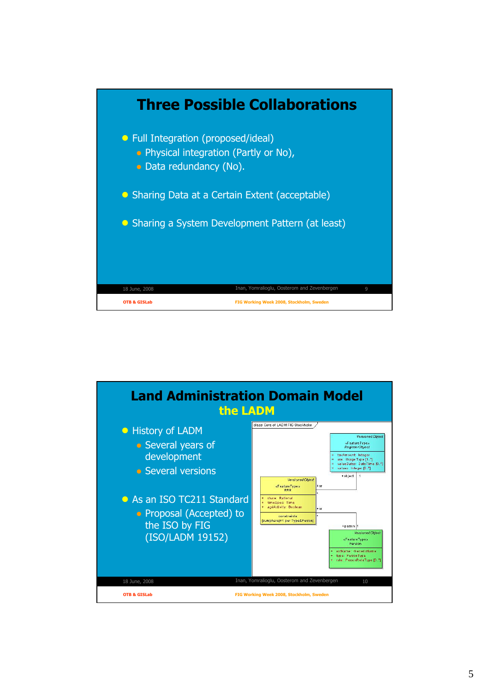

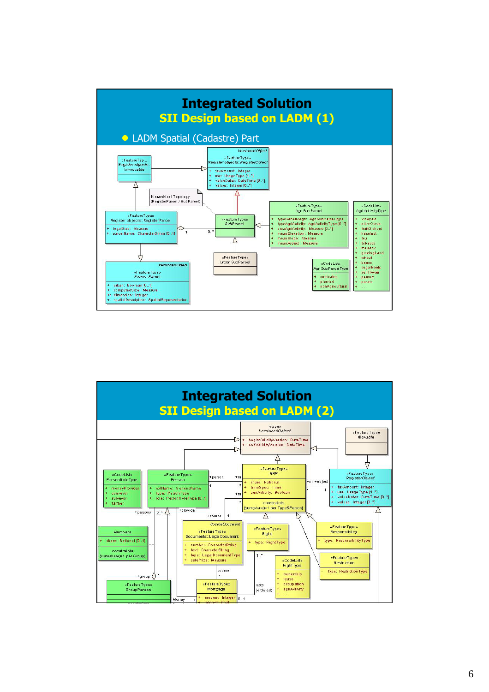

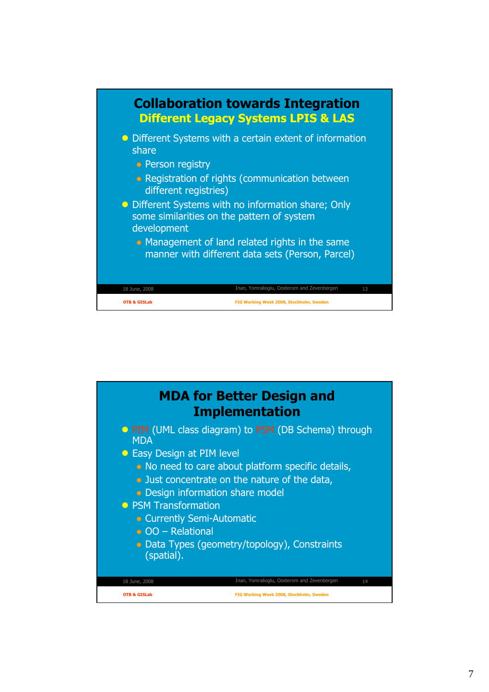

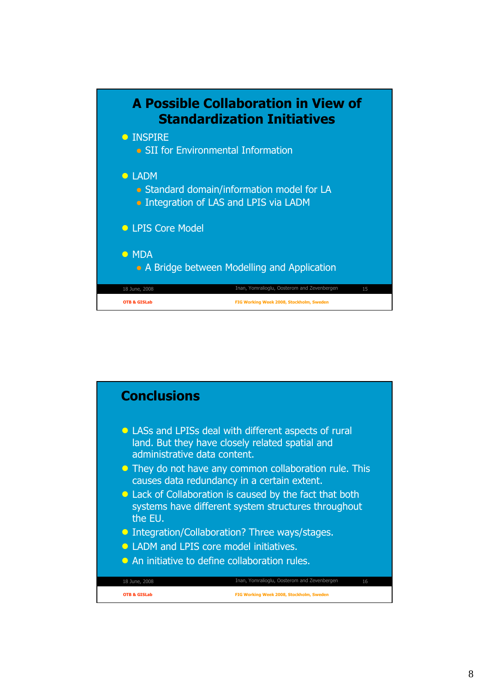